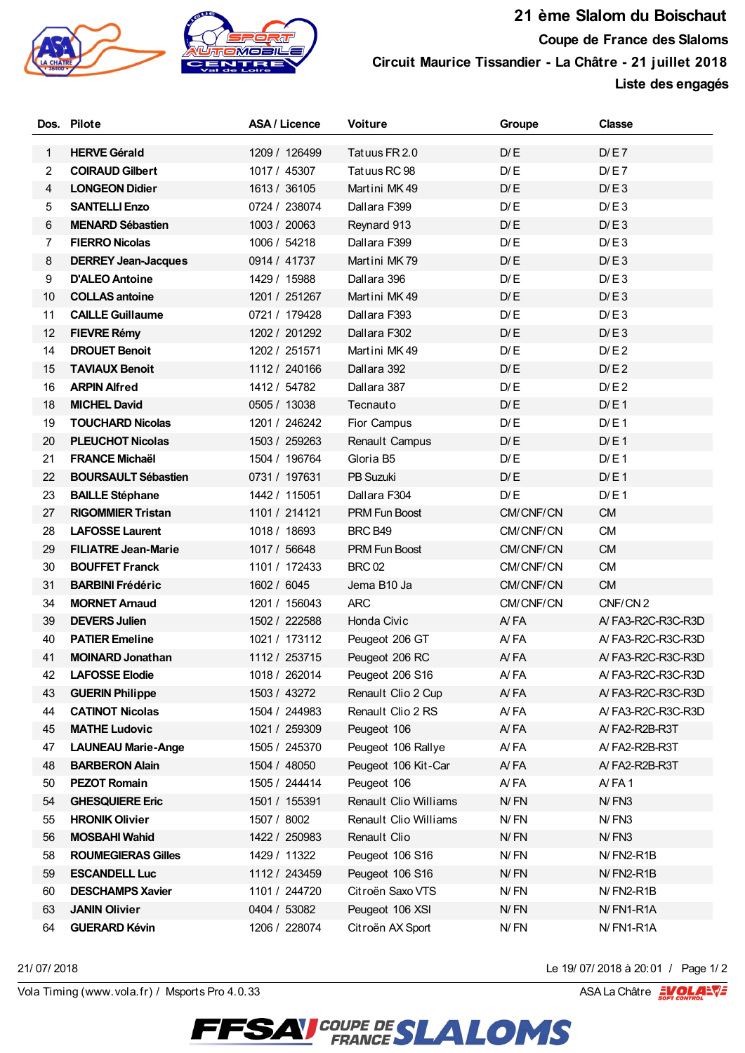

## **21 ème Slalom du Boischaut Coupe de France des Slaloms Circuit Maurice Tissandier - La Châtre - 21 juillet 2018**

**Liste des engagés**

|    | Dos. Pilote                | ASA / Licence | Voiture               | Groupe    | <b>Classe</b>       |
|----|----------------------------|---------------|-----------------------|-----------|---------------------|
| 1  | <b>HERVE Gérald</b>        | 1209 / 126499 | Tatuus FR 2.0         | D/E       | D/E7                |
| 2  | <b>COIRAUD Gilbert</b>     | 1017 / 45307  | Tatuus RC 98          | D/E       | D/E7                |
| 4  | <b>LONGEON Didier</b>      | 1613 / 36105  | Martini MK49          | D/E       | D/E3                |
| 5  | <b>SANTELLI Enzo</b>       | 0724 / 238074 | Dallara F399          | D/E       | D/E3                |
| 6  | <b>MENARD Sébastien</b>    | 1003 / 20063  | Reynard 913           | D/E       | D/E3                |
| 7  | <b>FIERRO Nicolas</b>      | 1006 / 54218  | Dallara F399          | D/E       | D/E3                |
| 8  | <b>DERREY Jean-Jacques</b> | 0914 / 41737  | Martini MK79          | D/E       | D/E3                |
| 9  | <b>D'ALEO Antoine</b>      | 1429 / 15988  | Dallara 396           | D/E       | D/E3                |
| 10 | <b>COLLAS antoine</b>      | 1201 / 251267 | Martini MK49          | D/E       | D/E3                |
| 11 | <b>CAILLE Guillaume</b>    | 0721 / 179428 | Dallara F393          | D/E       | D/E3                |
| 12 | <b>FIEVRE Rémy</b>         | 1202 / 201292 | Dallara F302          | D/E       | D/E3                |
| 14 | <b>DROUET Benoit</b>       | 1202 / 251571 | Martini MK49          | D/E       | D/E2                |
| 15 | <b>TAVIAUX Benoit</b>      | 1112 / 240166 | Dallara 392           | D/E       | D/E2                |
| 16 | <b>ARPIN Alfred</b>        | 1412 / 54782  | Dallara 387           | D/E       | D/E2                |
| 18 | <b>MICHEL David</b>        | 0505 / 13038  | Tecnauto              | D/E       | D/E1                |
| 19 | <b>TOUCHARD Nicolas</b>    | 1201 / 246242 | Fior Campus           | D/E       | D/E1                |
| 20 | <b>PLEUCHOT Nicolas</b>    | 1503 / 259263 | Renault Campus        | D/E       | D/E1                |
| 21 | <b>FRANCE Michaël</b>      | 1504 / 196764 | Gloria B5             | D/E       | D/E1                |
| 22 | <b>BOURSAULT Sébastien</b> | 0731 / 197631 | PB Suzuki             | D/E       | D/E1                |
| 23 | <b>BAILLE Stéphane</b>     | 1442 / 115051 | Dallara F304          | D/E       | D/E1                |
| 27 | <b>RIGOMMIER Tristan</b>   | 1101 / 214121 | PRM Fun Boost         | CM/CNF/CN | <b>CM</b>           |
| 28 | <b>LAFOSSE Laurent</b>     | 1018 / 18693  | BRC B49               | CM/CNF/CN | <b>CM</b>           |
| 29 | <b>FILIATRE Jean-Marie</b> | 1017 / 56648  | <b>PRM Fun Boost</b>  | CM/CNF/CN | <b>CM</b>           |
| 30 | <b>BOUFFET Franck</b>      | 1101 / 172433 | <b>BRC 02</b>         | CM/CNF/CN | <b>CM</b>           |
| 31 | <b>BARBINI Frédéric</b>    | 1602 / 6045   | Jema B10 Ja           | CM/CNF/CN | <b>CM</b>           |
| 34 | <b>MORNET Arnaud</b>       | 1201 / 156043 | <b>ARC</b>            | CM/CNF/CN | CNF/CN <sub>2</sub> |
| 39 | <b>DEVERS Julien</b>       | 1502 / 222588 | Honda Civic           | AYFA      | A/FA3-R2C-R3C-R3D   |
| 40 | <b>PATIER Emeline</b>      | 1021 / 173112 | Peugeot 206 GT        | A/FA      | A/FA3-R2C-R3C-R3D   |
| 41 | <b>MOINARD Jonathan</b>    | 1112 / 253715 | Peugeot 206 RC        | AYFA      | A/FA3-R2C-R3C-R3D   |
| 42 | <b>LAFOSSE Elodie</b>      | 1018 / 262014 | Peugeot 206 S16       | A/FA      | A/FA3-R2C-R3C-R3D   |
| 43 | <b>GUERIN Philippe</b>     | 1503 / 43272  | Renault Clio 2 Cup    | A/FA      | A/FA3-R2C-R3C-R3D   |
| 44 | <b>CATINOT Nicolas</b>     | 1504 / 244983 | Renault Clio 2 RS     | AYFA      | A/FA3-R2C-R3C-R3D   |
| 45 | <b>MATHE Ludovic</b>       | 1021 / 259309 | Peugeot 106           | A/FA      | A/FA2-R2B-R3T       |
| 47 | <b>LAUNEAU Marie-Ange</b>  | 1505 / 245370 | Peugeot 106 Rallye    | A/FA      | A/FA2-R2B-R3T       |
| 48 | <b>BARBERON Alain</b>      | 1504 / 48050  | Peugeot 106 Kit-Car   | A/FA      | A/FA2-R2B-R3T       |
| 50 | <b>PEZOT Romain</b>        | 1505 / 244414 | Peugeot 106           | AYFA      | AYFA1               |
| 54 | <b>GHESQUIERE Eric</b>     | 1501 / 155391 | Renault Clio Williams | N/FN      | N/FN3               |
| 55 | <b>HRONIK Olivier</b>      | 1507 / 8002   | Renault Clio Williams | N/FN      | N/FN3               |
| 56 | <b>MOSBAHI Wahid</b>       | 1422 / 250983 | Renault Clio          | N/FN      | N/FN3               |
| 58 | <b>ROUMEGIERAS Gilles</b>  | 1429 / 11322  | Peugeot 106 S16       | N/FN      | N/FN2-R1B           |
| 59 | <b>ESCANDELL Luc</b>       | 1112 / 243459 | Peugeot 106 S16       | N/FN      | N/FN2-R1B           |
| 60 | <b>DESCHAMPS Xavier</b>    | 1101 / 244720 | Citroën Saxo VTS      | N/FN      | N/FN2-R1B           |
| 63 | <b>JANIN Olivier</b>       | 0404 / 53082  | Peugeot 106 XSI       | N/FN      | N/FN1-R1A           |
| 64 | <b>GUERARD Kévin</b>       | 1206 / 228074 | Citroën AX Sport      | N/FN      | N/FN1-R1A           |

21/ 07/ 2018 a 20:01 / Page 1/ 2<br>
Vola Timing (www.vola.fr) / Msports Pro 4.0.33 ASA La Châtre and ASA La Châtre and ASA La Châtre and ASA La Châtre and ASA La Châtre and ASA La Châtre and ASA La Châtre and ASA La Châtre a

**FFSAY** COUPE DESLALOMS